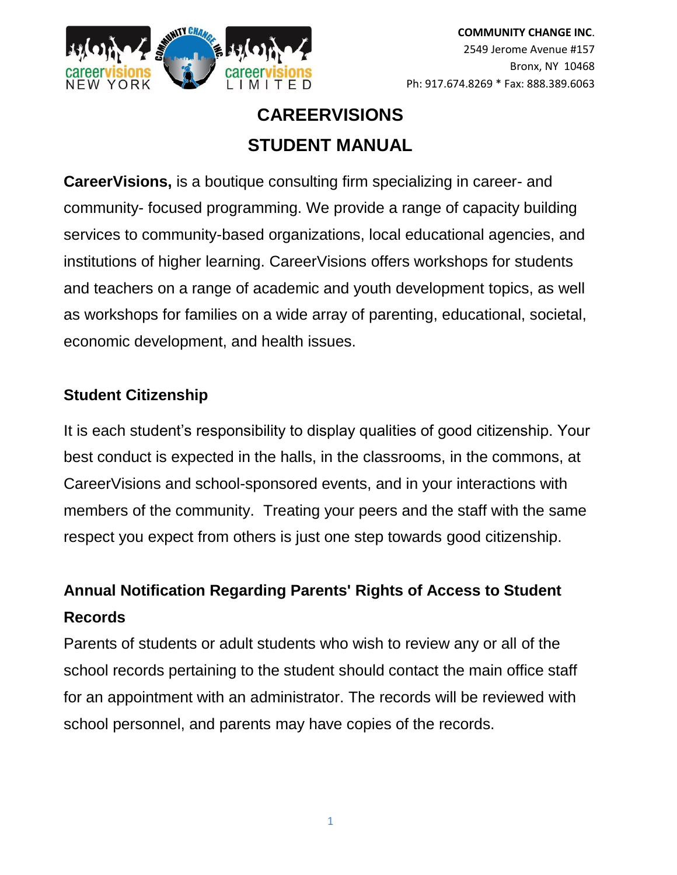

# **CAREERVISIONS STUDENT MANUAL**

**CareerVisions,** is a boutique consulting firm specializing in career- and community- focused programming. We provide a range of capacity building services to community-based organizations, local educational agencies, and institutions of higher learning. CareerVisions offers workshops for students and teachers on a range of academic and youth development topics, as well as workshops for families on a wide array of parenting, educational, societal, economic development, and health issues.

### **Student Citizenship**

It is each student's responsibility to display qualities of good citizenship. Your best conduct is expected in the halls, in the classrooms, in the commons, at CareerVisions and school-sponsored events, and in your interactions with members of the community. Treating your peers and the staff with the same respect you expect from others is just one step towards good citizenship.

## **Annual Notification Regarding Parents' Rights of Access to Student Records**

Parents of students or adult students who wish to review any or all of the school records pertaining to the student should contact the main office staff for an appointment with an administrator. The records will be reviewed with school personnel, and parents may have copies of the records.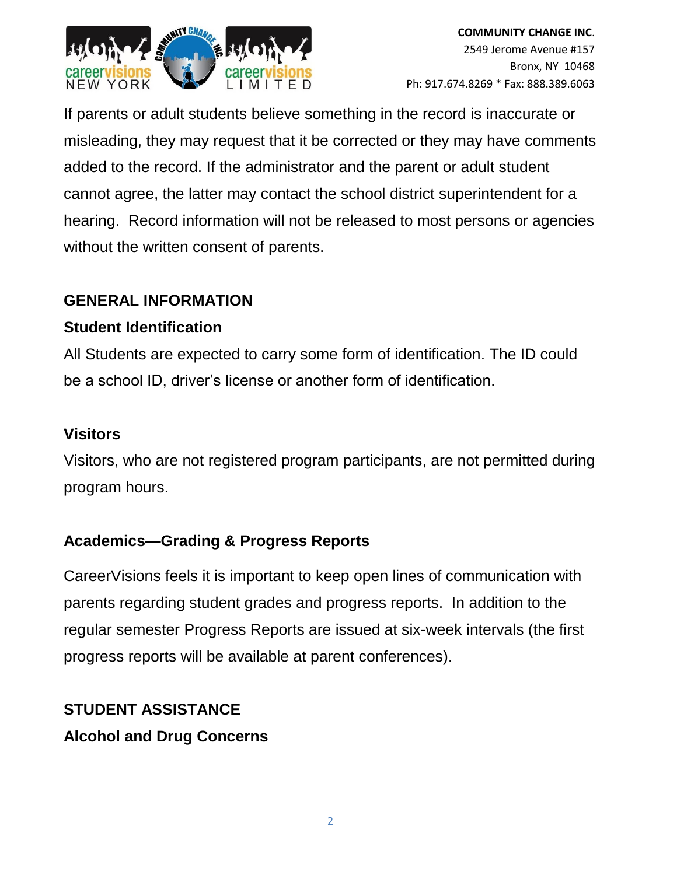

If parents or adult students believe something in the record is inaccurate or misleading, they may request that it be corrected or they may have comments added to the record. If the administrator and the parent or adult student cannot agree, the latter may contact the school district superintendent for a hearing. Record information will not be released to most persons or agencies without the written consent of parents.

### **GENERAL INFORMATION**

### **Student Identification**

All Students are expected to carry some form of identification. The ID could be a school ID, driver's license or another form of identification.

### **Visitors**

Visitors, who are not registered program participants, are not permitted during program hours.

### **Academics—Grading & Progress Reports**

CareerVisions feels it is important to keep open lines of communication with parents regarding student grades and progress reports. In addition to the regular semester Progress Reports are issued at six-week intervals (the first progress reports will be available at parent conferences).

## **STUDENT ASSISTANCE Alcohol and Drug Concerns**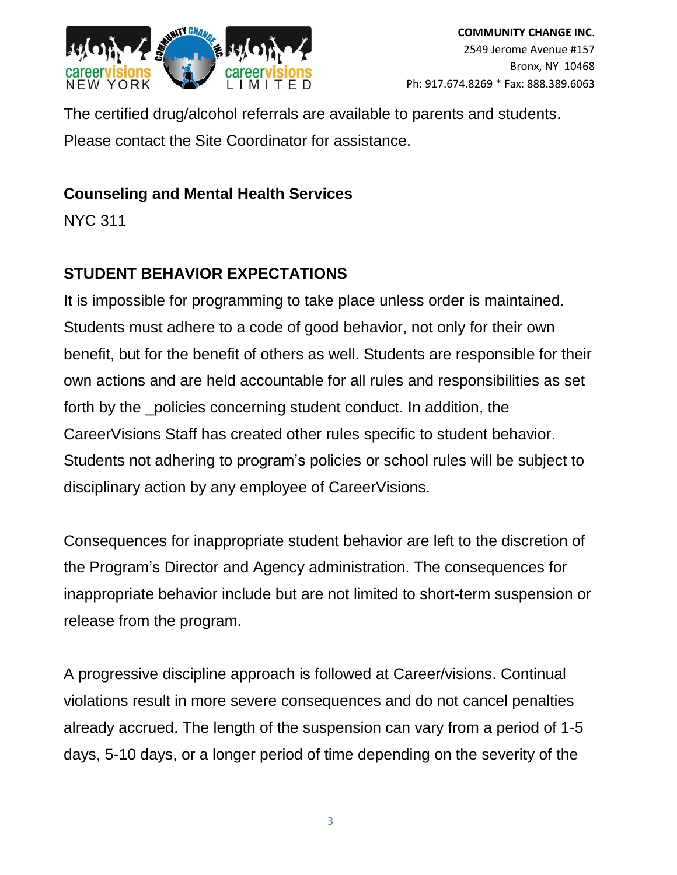

The certified drug/alcohol referrals are available to parents and students. Please contact the Site Coordinator for assistance.

### **Counseling and Mental Health Services**

NYC 311

## **STUDENT BEHAVIOR EXPECTATIONS**

It is impossible for programming to take place unless order is maintained. Students must adhere to a code of good behavior, not only for their own benefit, but for the benefit of others as well. Students are responsible for their own actions and are held accountable for all rules and responsibilities as set forth by the policies concerning student conduct. In addition, the CareerVisions Staff has created other rules specific to student behavior. Students not adhering to program's policies or school rules will be subject to disciplinary action by any employee of CareerVisions.

Consequences for inappropriate student behavior are left to the discretion of the Program's Director and Agency administration. The consequences for inappropriate behavior include but are not limited to short-term suspension or release from the program.

A progressive discipline approach is followed at Career/visions. Continual violations result in more severe consequences and do not cancel penalties already accrued. The length of the suspension can vary from a period of 1-5 days, 5-10 days, or a longer period of time depending on the severity of the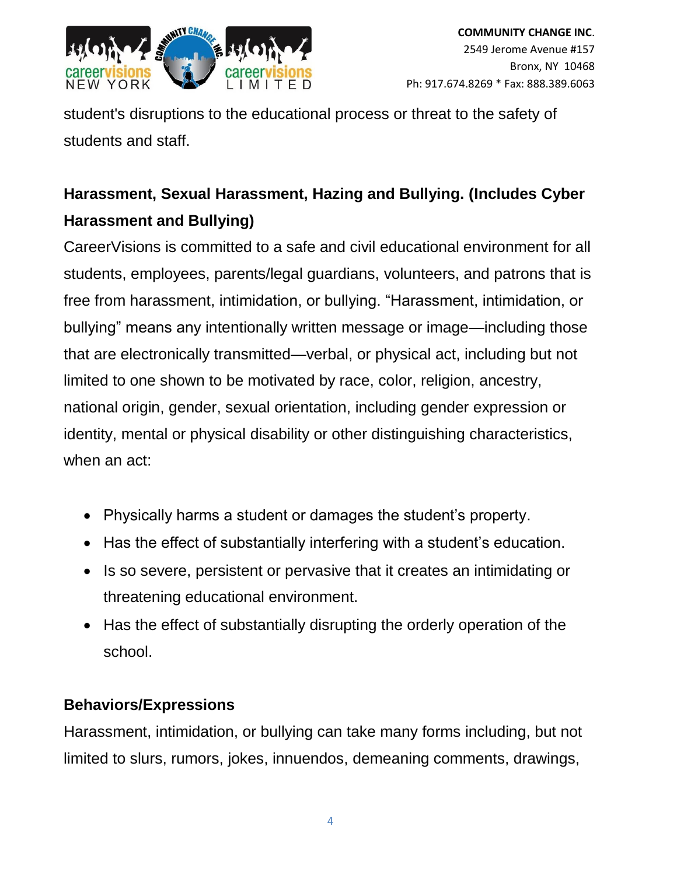

student's disruptions to the educational process or threat to the safety of students and staff.

# **Harassment, Sexual Harassment, Hazing and Bullying. (Includes Cyber Harassment and Bullying)**

CareerVisions is committed to a safe and civil educational environment for all students, employees, parents/legal guardians, volunteers, and patrons that is free from harassment, intimidation, or bullying. "Harassment, intimidation, or bullying" means any intentionally written message or image—including those that are electronically transmitted—verbal, or physical act, including but not limited to one shown to be motivated by race, color, religion, ancestry, national origin, gender, sexual orientation, including gender expression or identity, mental or physical disability or other distinguishing characteristics, when an act:

- Physically harms a student or damages the student's property.
- Has the effect of substantially interfering with a student's education.
- Is so severe, persistent or pervasive that it creates an intimidating or threatening educational environment.
- Has the effect of substantially disrupting the orderly operation of the school.

## **Behaviors/Expressions**

Harassment, intimidation, or bullying can take many forms including, but not limited to slurs, rumors, jokes, innuendos, demeaning comments, drawings,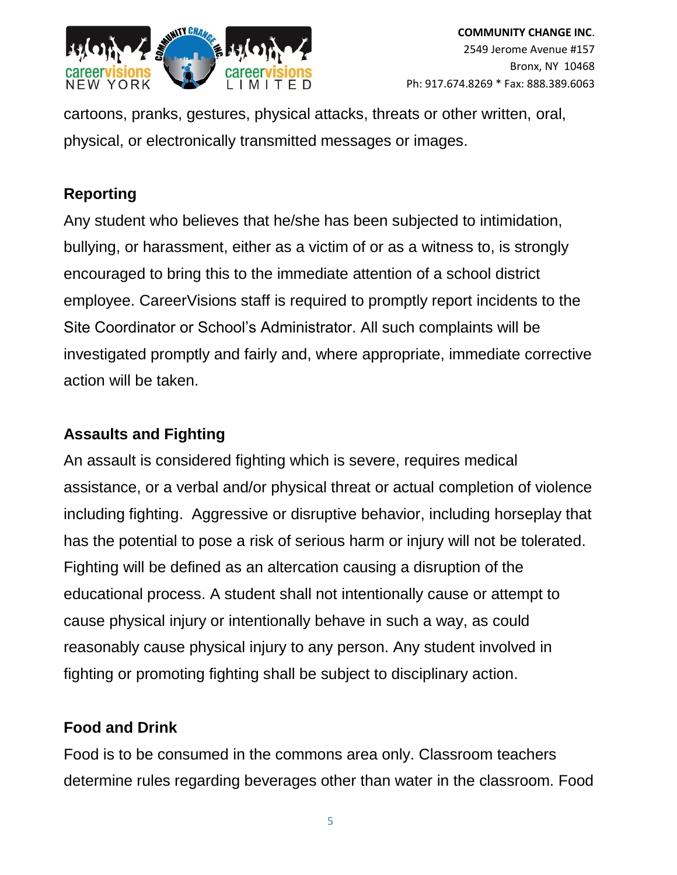

cartoons, pranks, gestures, physical attacks, threats or other written, oral, physical, or electronically transmitted messages or images.

## **Reporting**

Any student who believes that he/she has been subjected to intimidation, bullying, or harassment, either as a victim of or as a witness to, is strongly encouraged to bring this to the immediate attention of a school district employee. CareerVisions staff is required to promptly report incidents to the Site Coordinator or School's Administrator. All such complaints will be investigated promptly and fairly and, where appropriate, immediate corrective action will be taken.

### **Assaults and Fighting**

An assault is considered fighting which is severe, requires medical assistance, or a verbal and/or physical threat or actual completion of violence including fighting. Aggressive or disruptive behavior, including horseplay that has the potential to pose a risk of serious harm or injury will not be tolerated. Fighting will be defined as an altercation causing a disruption of the educational process. A student shall not intentionally cause or attempt to cause physical injury or intentionally behave in such a way, as could reasonably cause physical injury to any person. Any student involved in fighting or promoting fighting shall be subject to disciplinary action.

## **Food and Drink**

Food is to be consumed in the commons area only. Classroom teachers determine rules regarding beverages other than water in the classroom. Food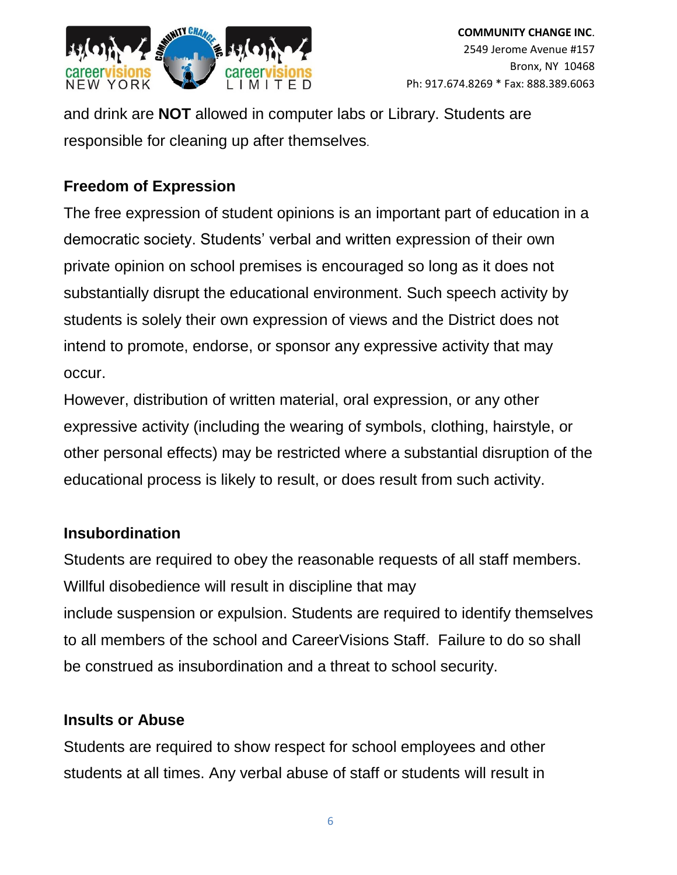

and drink are **NOT** allowed in computer labs or Library. Students are responsible for cleaning up after themselves.

### **Freedom of Expression**

The free expression of student opinions is an important part of education in a democratic society. Students' verbal and written expression of their own private opinion on school premises is encouraged so long as it does not substantially disrupt the educational environment. Such speech activity by students is solely their own expression of views and the District does not intend to promote, endorse, or sponsor any expressive activity that may occur.

However, distribution of written material, oral expression, or any other expressive activity (including the wearing of symbols, clothing, hairstyle, or other personal effects) may be restricted where a substantial disruption of the educational process is likely to result, or does result from such activity.

### **Insubordination**

Students are required to obey the reasonable requests of all staff members. Willful disobedience will result in discipline that may include suspension or expulsion. Students are required to identify themselves to all members of the school and CareerVisions Staff. Failure to do so shall be construed as insubordination and a threat to school security.

### **Insults or Abuse**

Students are required to show respect for school employees and other students at all times. Any verbal abuse of staff or students will result in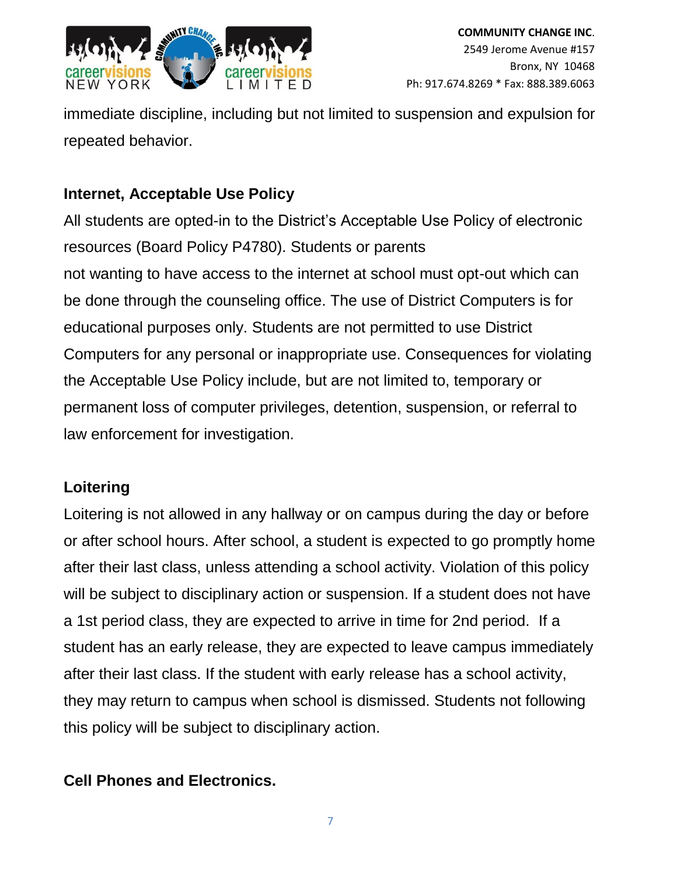

immediate discipline, including but not limited to suspension and expulsion for repeated behavior.

### **Internet, Acceptable Use Policy**

All students are opted-in to the District's Acceptable Use Policy of electronic resources (Board Policy P4780). Students or parents not wanting to have access to the internet at school must opt-out which can be done through the counseling office. The use of District Computers is for educational purposes only. Students are not permitted to use District Computers for any personal or inappropriate use. Consequences for violating the Acceptable Use Policy include, but are not limited to, temporary or permanent loss of computer privileges, detention, suspension, or referral to law enforcement for investigation.

### **Loitering**

Loitering is not allowed in any hallway or on campus during the day or before or after school hours. After school, a student is expected to go promptly home after their last class, unless attending a school activity. Violation of this policy will be subject to disciplinary action or suspension. If a student does not have a 1st period class, they are expected to arrive in time for 2nd period. If a student has an early release, they are expected to leave campus immediately after their last class. If the student with early release has a school activity, they may return to campus when school is dismissed. Students not following this policy will be subject to disciplinary action.

### **Cell Phones and Electronics.**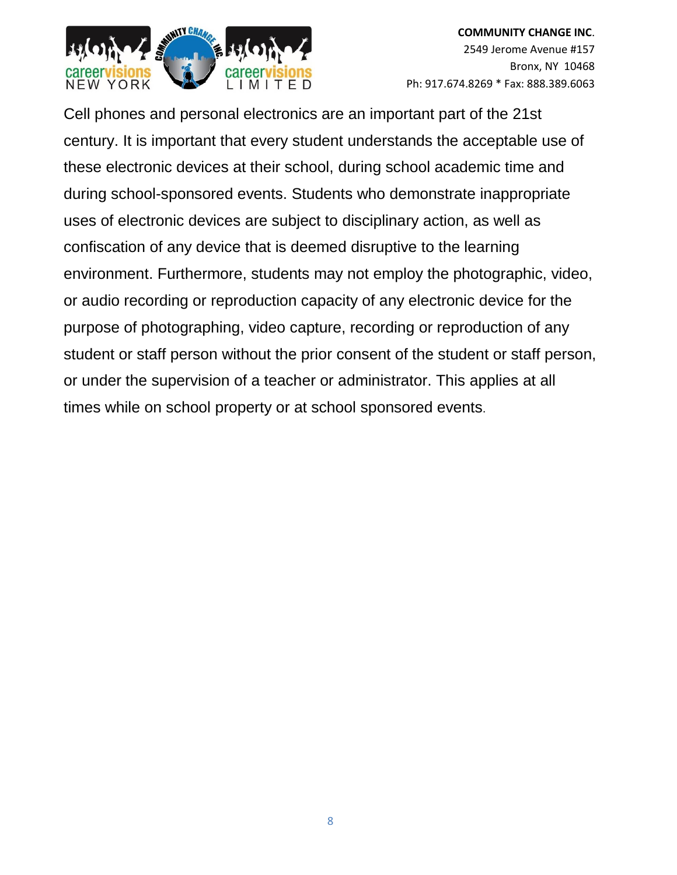

Cell phones and personal electronics are an important part of the 21st century. It is important that every student understands the acceptable use of these electronic devices at their school, during school academic time and during school-sponsored events. Students who demonstrate inappropriate uses of electronic devices are subject to disciplinary action, as well as confiscation of any device that is deemed disruptive to the learning environment. Furthermore, students may not employ the photographic, video, or audio recording or reproduction capacity of any electronic device for the purpose of photographing, video capture, recording or reproduction of any student or staff person without the prior consent of the student or staff person, or under the supervision of a teacher or administrator. This applies at all times while on school property or at school sponsored events.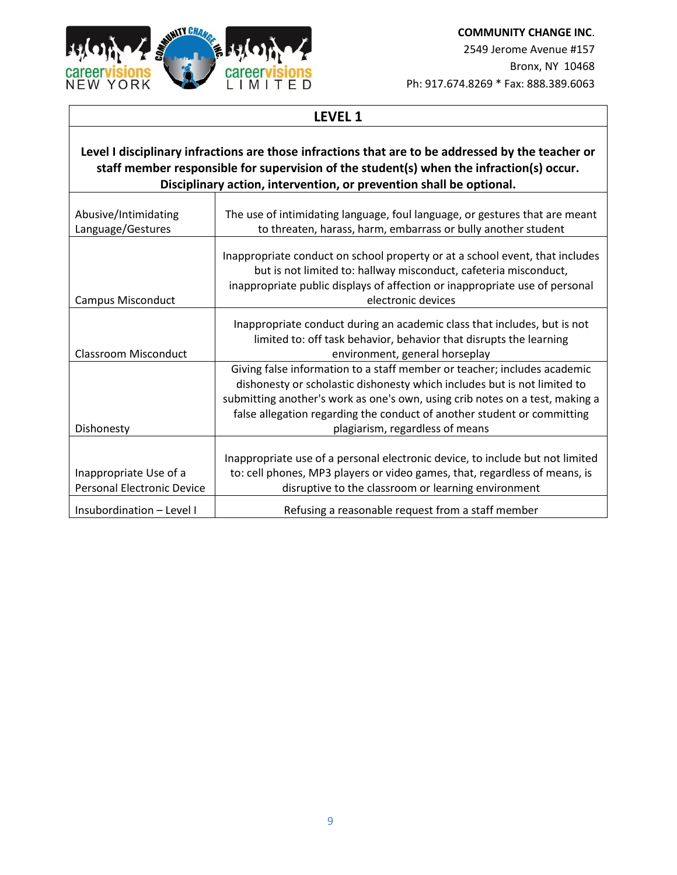

**COMMUNITY CHANGE INC**. 2549 Jerome Avenue #157 Bronx, NY 10468 Ph: 917.674.8269 \* Fax: 888.389.6063

### **LEVEL 1**

#### **Level I disciplinary infractions are those infractions that are to be addressed by the teacher or staff member responsible for supervision of the student(s) when the infraction(s) occur. Disciplinary action, intervention, or prevention shall be optional.**

| Abusive/Intimidating                                        | The use of intimidating language, foul language, or gestures that are meant                                                                                                                                                                                                                                                                        |
|-------------------------------------------------------------|----------------------------------------------------------------------------------------------------------------------------------------------------------------------------------------------------------------------------------------------------------------------------------------------------------------------------------------------------|
| Language/Gestures                                           | to threaten, harass, harm, embarrass or bully another student                                                                                                                                                                                                                                                                                      |
| <b>Campus Misconduct</b>                                    | Inappropriate conduct on school property or at a school event, that includes<br>but is not limited to: hallway misconduct, cafeteria misconduct,<br>inappropriate public displays of affection or inappropriate use of personal<br>electronic devices                                                                                              |
|                                                             | Inappropriate conduct during an academic class that includes, but is not<br>limited to: off task behavior, behavior that disrupts the learning                                                                                                                                                                                                     |
| <b>Classroom Misconduct</b>                                 | environment, general horseplay                                                                                                                                                                                                                                                                                                                     |
| Dishonesty                                                  | Giving false information to a staff member or teacher; includes academic<br>dishonesty or scholastic dishonesty which includes but is not limited to<br>submitting another's work as one's own, using crib notes on a test, making a<br>false allegation regarding the conduct of another student or committing<br>plagiarism, regardless of means |
|                                                             |                                                                                                                                                                                                                                                                                                                                                    |
| Inappropriate Use of a<br><b>Personal Electronic Device</b> | Inappropriate use of a personal electronic device, to include but not limited<br>to: cell phones, MP3 players or video games, that, regardless of means, is<br>disruptive to the classroom or learning environment                                                                                                                                 |
| Insubordination - Level I                                   | Refusing a reasonable request from a staff member                                                                                                                                                                                                                                                                                                  |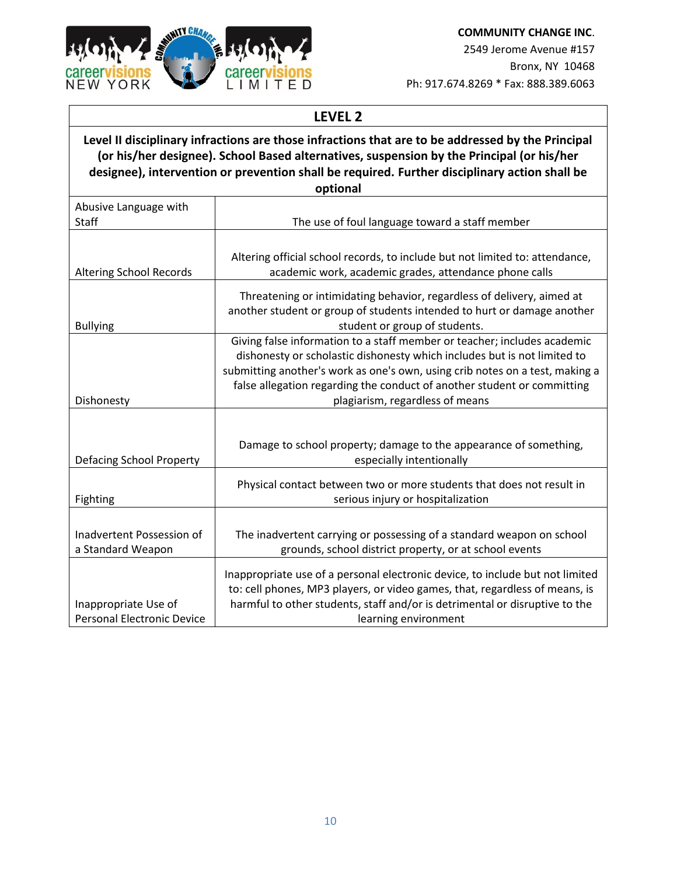

**COMMUNITY CHANGE INC**. 2549 Jerome Avenue #157 Bronx, NY 10468

Ph: 917.674.8269 \* Fax: 888.389.6063

#### **LEVEL 2**

#### **Level II disciplinary infractions are those infractions that are to be addressed by the Principal (or his/her designee). School Based alternatives, suspension by the Principal (or his/her designee), intervention or prevention shall be required. Further disciplinary action shall be optional**

|                                                           | upuvilai                                                                                            |
|-----------------------------------------------------------|-----------------------------------------------------------------------------------------------------|
| Abusive Language with<br><b>Staff</b>                     | The use of foul language toward a staff member                                                      |
|                                                           |                                                                                                     |
|                                                           |                                                                                                     |
|                                                           | Altering official school records, to include but not limited to: attendance,                        |
| <b>Altering School Records</b>                            | academic work, academic grades, attendance phone calls                                              |
|                                                           |                                                                                                     |
|                                                           | Threatening or intimidating behavior, regardless of delivery, aimed at                              |
|                                                           | another student or group of students intended to hurt or damage another                             |
| <b>Bullying</b>                                           | student or group of students.                                                                       |
|                                                           | Giving false information to a staff member or teacher; includes academic                            |
|                                                           | dishonesty or scholastic dishonesty which includes but is not limited to                            |
|                                                           | submitting another's work as one's own, using crib notes on a test, making a                        |
|                                                           | false allegation regarding the conduct of another student or committing                             |
|                                                           |                                                                                                     |
| Dishonesty                                                | plagiarism, regardless of means                                                                     |
|                                                           |                                                                                                     |
|                                                           |                                                                                                     |
|                                                           | Damage to school property; damage to the appearance of something,                                   |
| Defacing School Property                                  | especially intentionally                                                                            |
|                                                           |                                                                                                     |
|                                                           | Physical contact between two or more students that does not result in                               |
| Fighting                                                  | serious injury or hospitalization                                                                   |
|                                                           |                                                                                                     |
| Inadvertent Possession of                                 | The inadvertent carrying or possessing of a standard weapon on school                               |
| a Standard Weapon                                         | grounds, school district property, or at school events                                              |
|                                                           |                                                                                                     |
|                                                           |                                                                                                     |
|                                                           |                                                                                                     |
|                                                           | Inappropriate use of a personal electronic device, to include but not limited                       |
|                                                           | to: cell phones, MP3 players, or video games, that, regardless of means, is                         |
| Inappropriate Use of<br><b>Personal Electronic Device</b> | harmful to other students, staff and/or is detrimental or disruptive to the<br>learning environment |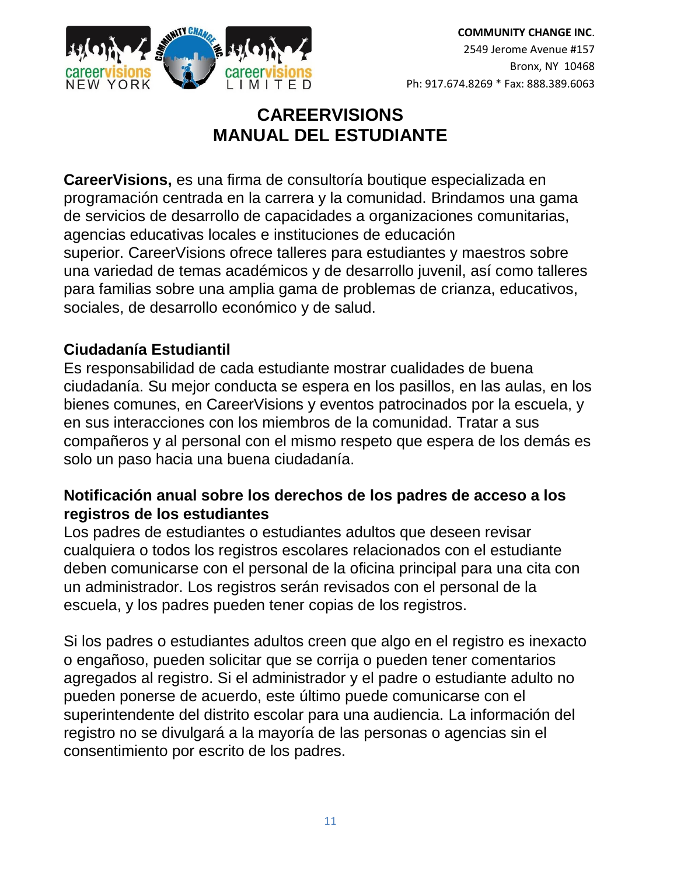

## **CAREERVISIONS MANUAL DEL ESTUDIANTE**

**CareerVisions,** es una firma de consultoría boutique especializada en programación centrada en la carrera y la comunidad. Brindamos una gama de servicios de desarrollo de capacidades a organizaciones comunitarias, agencias educativas locales e instituciones de educación superior. CareerVisions ofrece talleres para estudiantes y maestros sobre una variedad de temas académicos y de desarrollo juvenil, así como talleres para familias sobre una amplia gama de problemas de crianza, educativos, sociales, de desarrollo económico y de salud.

### **Ciudadanía Estudiantil**

Es responsabilidad de cada estudiante mostrar cualidades de buena ciudadanía. Su mejor conducta se espera en los pasillos, en las aulas, en los bienes comunes, en CareerVisions y eventos patrocinados por la escuela, y en sus interacciones con los miembros de la comunidad. Tratar a sus compañeros y al personal con el mismo respeto que espera de los demás es solo un paso hacia una buena ciudadanía.

### **Notificación anual sobre los derechos de los padres de acceso a los registros de los estudiantes**

Los padres de estudiantes o estudiantes adultos que deseen revisar cualquiera o todos los registros escolares relacionados con el estudiante deben comunicarse con el personal de la oficina principal para una cita con un administrador. Los registros serán revisados con el personal de la escuela, y los padres pueden tener copias de los registros.

Si los padres o estudiantes adultos creen que algo en el registro es inexacto o engañoso, pueden solicitar que se corrija o pueden tener comentarios agregados al registro. Si el administrador y el padre o estudiante adulto no pueden ponerse de acuerdo, este último puede comunicarse con el superintendente del distrito escolar para una audiencia. La información del registro no se divulgará a la mayoría de las personas o agencias sin el consentimiento por escrito de los padres.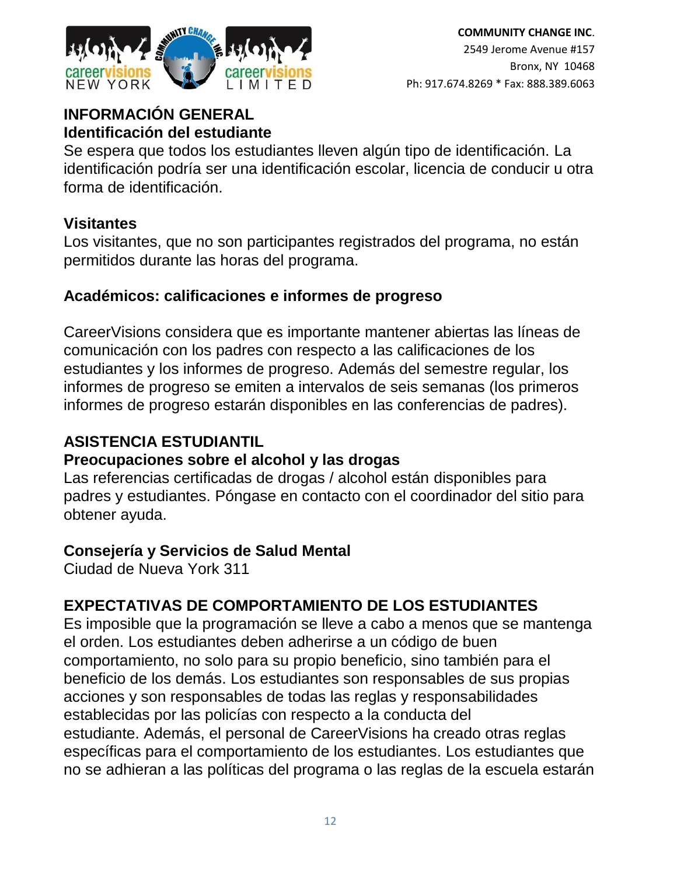

### **INFORMACIÓN GENERAL Identificación del estudiante**

Se espera que todos los estudiantes lleven algún tipo de identificación. La identificación podría ser una identificación escolar, licencia de conducir u otra forma de identificación.

### **Visitantes**

Los visitantes, que no son participantes registrados del programa, no están permitidos durante las horas del programa.

### **Académicos: calificaciones e informes de progreso**

CareerVisions considera que es importante mantener abiertas las líneas de comunicación con los padres con respecto a las calificaciones de los estudiantes y los informes de progreso. Además del semestre regular, los informes de progreso se emiten a intervalos de seis semanas (los primeros informes de progreso estarán disponibles en las conferencias de padres).

### **ASISTENCIA ESTUDIANTIL**

### **Preocupaciones sobre el alcohol y las drogas**

Las referencias certificadas de drogas / alcohol están disponibles para padres y estudiantes. Póngase en contacto con el coordinador del sitio para obtener ayuda.

### **Consejería y Servicios de Salud Mental**

Ciudad de Nueva York 311

## **EXPECTATIVAS DE COMPORTAMIENTO DE LOS ESTUDIANTES**

Es imposible que la programación se lleve a cabo a menos que se mantenga el orden. Los estudiantes deben adherirse a un código de buen comportamiento, no solo para su propio beneficio, sino también para el beneficio de los demás. Los estudiantes son responsables de sus propias acciones y son responsables de todas las reglas y responsabilidades establecidas por las policías con respecto a la conducta del estudiante. Además, el personal de CareerVisions ha creado otras reglas específicas para el comportamiento de los estudiantes. Los estudiantes que no se adhieran a las políticas del programa o las reglas de la escuela estarán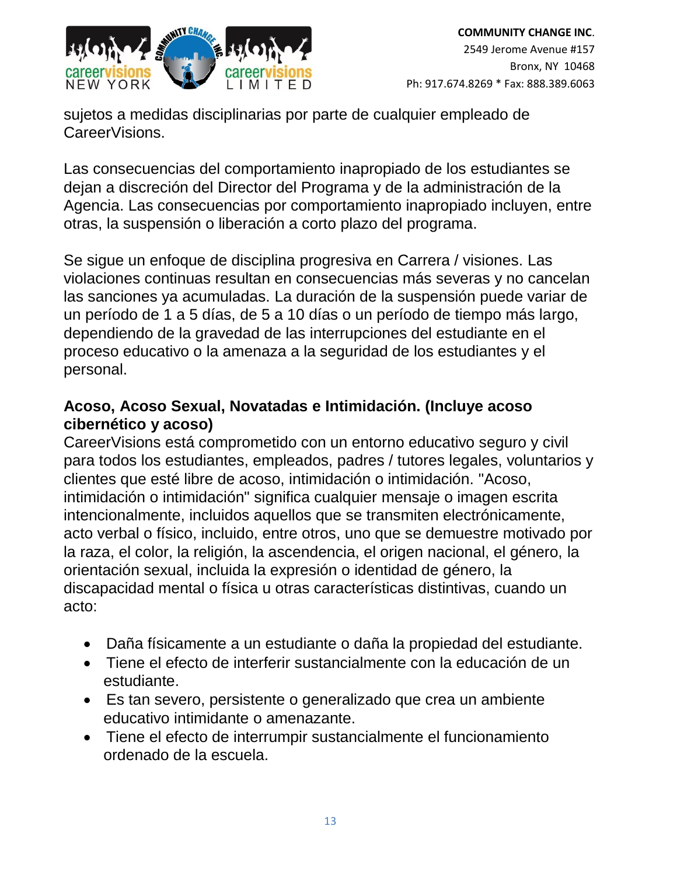

sujetos a medidas disciplinarias por parte de cualquier empleado de CareerVisions.

Las consecuencias del comportamiento inapropiado de los estudiantes se dejan a discreción del Director del Programa y de la administración de la Agencia. Las consecuencias por comportamiento inapropiado incluyen, entre otras, la suspensión o liberación a corto plazo del programa.

Se sigue un enfoque de disciplina progresiva en Carrera / visiones. Las violaciones continuas resultan en consecuencias más severas y no cancelan las sanciones ya acumuladas. La duración de la suspensión puede variar de un período de 1 a 5 días, de 5 a 10 días o un período de tiempo más largo, dependiendo de la gravedad de las interrupciones del estudiante en el proceso educativo o la amenaza a la seguridad de los estudiantes y el personal.

### **Acoso, Acoso Sexual, Novatadas e Intimidación. (Incluye acoso cibernético y acoso)**

CareerVisions está comprometido con un entorno educativo seguro y civil para todos los estudiantes, empleados, padres / tutores legales, voluntarios y clientes que esté libre de acoso, intimidación o intimidación. "Acoso, intimidación o intimidación" significa cualquier mensaje o imagen escrita intencionalmente, incluidos aquellos que se transmiten electrónicamente, acto verbal o físico, incluido, entre otros, uno que se demuestre motivado por la raza, el color, la religión, la ascendencia, el origen nacional, el género, la orientación sexual, incluida la expresión o identidad de género, la discapacidad mental o física u otras características distintivas, cuando un acto:

- Daña físicamente a un estudiante o daña la propiedad del estudiante.
- Tiene el efecto de interferir sustancialmente con la educación de un estudiante.
- Es tan severo, persistente o generalizado que crea un ambiente educativo intimidante o amenazante.
- Tiene el efecto de interrumpir sustancialmente el funcionamiento ordenado de la escuela.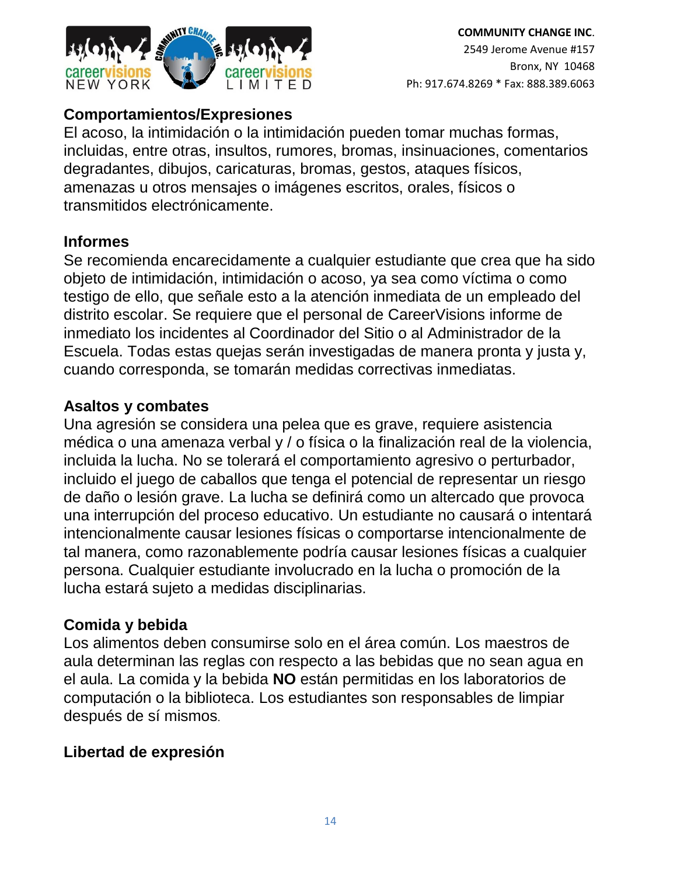

### **Comportamientos/Expresiones**

El acoso, la intimidación o la intimidación pueden tomar muchas formas, incluidas, entre otras, insultos, rumores, bromas, insinuaciones, comentarios degradantes, dibujos, caricaturas, bromas, gestos, ataques físicos, amenazas u otros mensajes o imágenes escritos, orales, físicos o transmitidos electrónicamente.

### **Informes**

Se recomienda encarecidamente a cualquier estudiante que crea que ha sido objeto de intimidación, intimidación o acoso, ya sea como víctima o como testigo de ello, que señale esto a la atención inmediata de un empleado del distrito escolar. Se requiere que el personal de CareerVisions informe de inmediato los incidentes al Coordinador del Sitio o al Administrador de la Escuela. Todas estas quejas serán investigadas de manera pronta y justa y, cuando corresponda, se tomarán medidas correctivas inmediatas.

### **Asaltos y combates**

Una agresión se considera una pelea que es grave, requiere asistencia médica o una amenaza verbal y / o física o la finalización real de la violencia, incluida la lucha. No se tolerará el comportamiento agresivo o perturbador, incluido el juego de caballos que tenga el potencial de representar un riesgo de daño o lesión grave. La lucha se definirá como un altercado que provoca una interrupción del proceso educativo. Un estudiante no causará o intentará intencionalmente causar lesiones físicas o comportarse intencionalmente de tal manera, como razonablemente podría causar lesiones físicas a cualquier persona. Cualquier estudiante involucrado en la lucha o promoción de la lucha estará sujeto a medidas disciplinarias.

### **Comida y bebida**

Los alimentos deben consumirse solo en el área común. Los maestros de aula determinan las reglas con respecto a las bebidas que no sean agua en el aula. La comida y la bebida **NO** están permitidas en los laboratorios de computación o la biblioteca. Los estudiantes son responsables de limpiar después de sí mismos.

### **Libertad de expresión**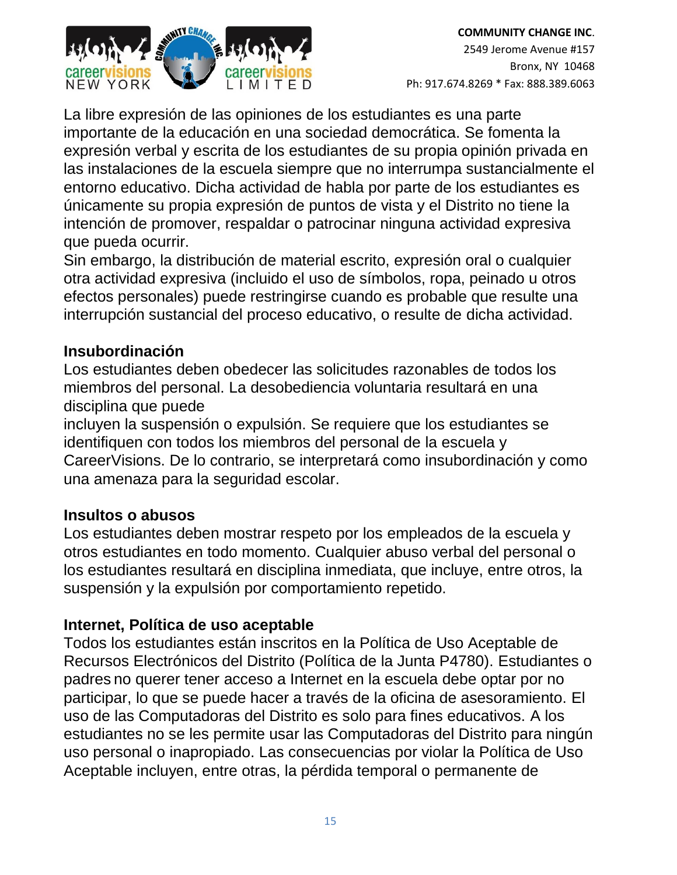

La libre expresión de las opiniones de los estudiantes es una parte importante de la educación en una sociedad democrática. Se fomenta la expresión verbal y escrita de los estudiantes de su propia opinión privada en las instalaciones de la escuela siempre que no interrumpa sustancialmente el entorno educativo. Dicha actividad de habla por parte de los estudiantes es únicamente su propia expresión de puntos de vista y el Distrito no tiene la intención de promover, respaldar o patrocinar ninguna actividad expresiva que pueda ocurrir.

Sin embargo, la distribución de material escrito, expresión oral o cualquier otra actividad expresiva (incluido el uso de símbolos, ropa, peinado u otros efectos personales) puede restringirse cuando es probable que resulte una interrupción sustancial del proceso educativo, o resulte de dicha actividad.

### **Insubordinación**

Los estudiantes deben obedecer las solicitudes razonables de todos los miembros del personal. La desobediencia voluntaria resultará en una disciplina que puede

incluyen la suspensión o expulsión. Se requiere que los estudiantes se identifiquen con todos los miembros del personal de la escuela y CareerVisions. De lo contrario, se interpretará como insubordinación y como una amenaza para la seguridad escolar.

### **Insultos o abusos**

Los estudiantes deben mostrar respeto por los empleados de la escuela y otros estudiantes en todo momento. Cualquier abuso verbal del personal o los estudiantes resultará en disciplina inmediata, que incluye, entre otros, la suspensión y la expulsión por comportamiento repetido.

### **Internet, Política de uso aceptable**

Todos los estudiantes están inscritos en la Política de Uso Aceptable de Recursos Electrónicos del Distrito (Política de la Junta P4780). Estudiantes o padres no querer tener acceso a Internet en la escuela debe optar por no participar, lo que se puede hacer a través de la oficina de asesoramiento. El uso de las Computadoras del Distrito es solo para fines educativos. A los estudiantes no se les permite usar las Computadoras del Distrito para ningún uso personal o inapropiado. Las consecuencias por violar la Política de Uso Aceptable incluyen, entre otras, la pérdida temporal o permanente de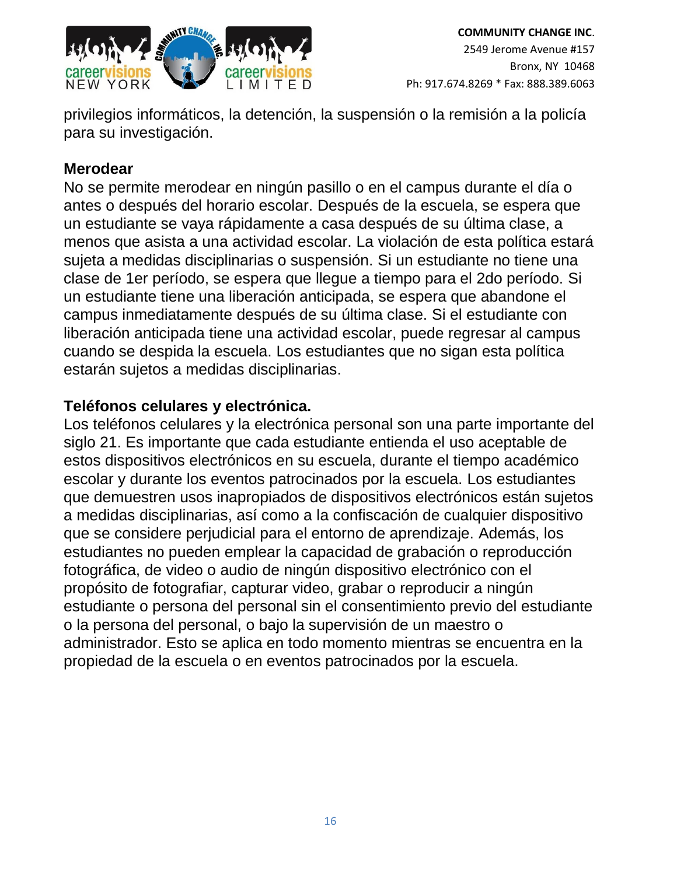

privilegios informáticos, la detención, la suspensión o la remisión a la policía para su investigación.

### **Merodear**

No se permite merodear en ningún pasillo o en el campus durante el día o antes o después del horario escolar. Después de la escuela, se espera que un estudiante se vaya rápidamente a casa después de su última clase, a menos que asista a una actividad escolar. La violación de esta política estará sujeta a medidas disciplinarias o suspensión. Si un estudiante no tiene una clase de 1er período, se espera que llegue a tiempo para el 2do período. Si un estudiante tiene una liberación anticipada, se espera que abandone el campus inmediatamente después de su última clase. Si el estudiante con liberación anticipada tiene una actividad escolar, puede regresar al campus cuando se despida la escuela. Los estudiantes que no sigan esta política estarán sujetos a medidas disciplinarias.

### **Teléfonos celulares y electrónica.**

Los teléfonos celulares y la electrónica personal son una parte importante del siglo 21. Es importante que cada estudiante entienda el uso aceptable de estos dispositivos electrónicos en su escuela, durante el tiempo académico escolar y durante los eventos patrocinados por la escuela. Los estudiantes que demuestren usos inapropiados de dispositivos electrónicos están sujetos a medidas disciplinarias, así como a la confiscación de cualquier dispositivo que se considere perjudicial para el entorno de aprendizaje. Además, los estudiantes no pueden emplear la capacidad de grabación o reproducción fotográfica, de video o audio de ningún dispositivo electrónico con el propósito de fotografiar, capturar video, grabar o reproducir a ningún estudiante o persona del personal sin el consentimiento previo del estudiante o la persona del personal, o bajo la supervisión de un maestro o administrador. Esto se aplica en todo momento mientras se encuentra en la propiedad de la escuela o en eventos patrocinados por la escuela.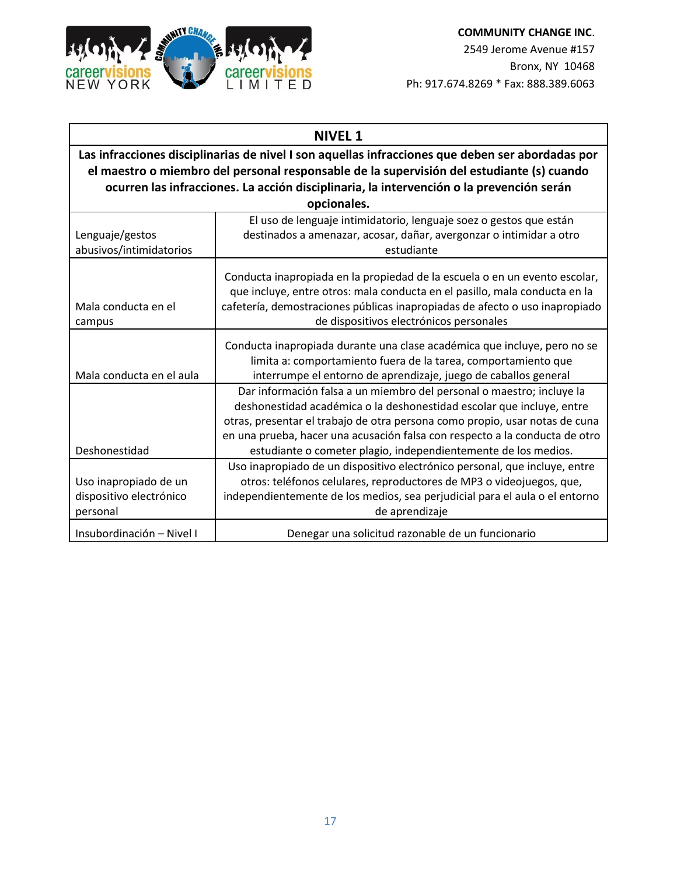

| <b>NIVEL 1</b>                                                                                                                                                                                                                                                                                           |                                                                                                                                                                                                                                                                                                                                                                                |  |
|----------------------------------------------------------------------------------------------------------------------------------------------------------------------------------------------------------------------------------------------------------------------------------------------------------|--------------------------------------------------------------------------------------------------------------------------------------------------------------------------------------------------------------------------------------------------------------------------------------------------------------------------------------------------------------------------------|--|
| Las infracciones disciplinarias de nivel I son aquellas infracciones que deben ser abordadas por<br>el maestro o miembro del personal responsable de la supervisión del estudiante (s) cuando<br>ocurren las infracciones. La acción disciplinaria, la intervención o la prevención serán<br>opcionales. |                                                                                                                                                                                                                                                                                                                                                                                |  |
| Lenguaje/gestos<br>abusivos/intimidatorios                                                                                                                                                                                                                                                               | El uso de lenguaje intimidatorio, lenguaje soez o gestos que están<br>destinados a amenazar, acosar, dañar, avergonzar o intimidar a otro<br>estudiante                                                                                                                                                                                                                        |  |
| Mala conducta en el<br>campus                                                                                                                                                                                                                                                                            | Conducta inapropiada en la propiedad de la escuela o en un evento escolar,<br>que incluye, entre otros: mala conducta en el pasillo, mala conducta en la<br>cafetería, demostraciones públicas inapropiadas de afecto o uso inapropiado<br>de dispositivos electrónicos personales                                                                                             |  |
| Mala conducta en el aula                                                                                                                                                                                                                                                                                 | Conducta inapropiada durante una clase académica que incluye, pero no se<br>limita a: comportamiento fuera de la tarea, comportamiento que<br>interrumpe el entorno de aprendizaje, juego de caballos general                                                                                                                                                                  |  |
| Deshonestidad                                                                                                                                                                                                                                                                                            | Dar información falsa a un miembro del personal o maestro; incluye la<br>deshonestidad académica o la deshonestidad escolar que incluye, entre<br>otras, presentar el trabajo de otra persona como propio, usar notas de cuna<br>en una prueba, hacer una acusación falsa con respecto a la conducta de otro<br>estudiante o cometer plagio, independientemente de los medios. |  |
| Uso inapropiado de un<br>dispositivo electrónico<br>personal                                                                                                                                                                                                                                             | Uso inapropiado de un dispositivo electrónico personal, que incluye, entre<br>otros: teléfonos celulares, reproductores de MP3 o videojuegos, que,<br>independientemente de los medios, sea perjudicial para el aula o el entorno<br>de aprendizaje                                                                                                                            |  |
| Insubordinación - Nivel I                                                                                                                                                                                                                                                                                | Denegar una solicitud razonable de un funcionario                                                                                                                                                                                                                                                                                                                              |  |